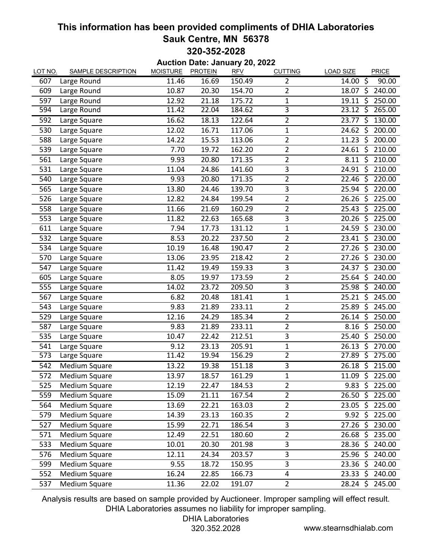## **This information has been provided compliments of DHIA Laboratories Sauk Centre, MN 56378 320-352-2028**

| <b>Auction Date: January 20, 2022</b> |                           |                 |                |            |                |                                       |  |  |  |
|---------------------------------------|---------------------------|-----------------|----------------|------------|----------------|---------------------------------------|--|--|--|
| <b>LOT NO</b>                         | <b>SAMPLE DESCRIPTION</b> | <b>MOISTURE</b> | <b>PROTEIN</b> | <b>RFV</b> | <b>CUTTING</b> | <b>LOAD SIZE</b><br><b>PRICE</b>      |  |  |  |
| 607                                   | Large Round               | 11.46           | 16.69          | 150.49     | $\overline{2}$ | $14.00\sqrt{5}$<br>90.00              |  |  |  |
| 609                                   | Large Round               | 10.87           | 20.30          | 154.70     | 2              | \$<br>240.00<br>18.07                 |  |  |  |
| 597                                   | Large Round               | 12.92           | 21.18          | 175.72     | 1              | 19.11<br>\$<br>250.00                 |  |  |  |
| 594                                   | Large Round               | 11.42           | 22.04          | 184.62     | З              | $23.12 \div$<br>265.00                |  |  |  |
| 592                                   | Large Square              | 16.62           | 18.13          | 122.64     | $\overline{2}$ | -Ś<br>130.00<br>23.77                 |  |  |  |
| 530                                   | Large Square              | 12.02           | 16.71          | 117.06     | 1              | 200.00<br>$24.62 \div$                |  |  |  |
| 588                                   | Large Square              | 14.22           | 15.53          | 113.06     | $\overline{2}$ | 11.23<br>\$<br>200.00                 |  |  |  |
| 539                                   | Large Square              | 7.70            | 19.72          | 162.20     | $\overline{2}$ | Ŝ.<br>210.00<br>24.61                 |  |  |  |
| 561                                   | Large Square              | 9.93            | 20.80          | 171.35     | $\overline{2}$ | $8.11 \; \text{S}$<br>210.00          |  |  |  |
| 531                                   | Large Square              | 11.04           | 24.86          | 141.60     | 3              | 24.91 \$<br>210.00                    |  |  |  |
| 540                                   | Large Square              | 9.93            | 20.80          | 171.35     | $\overline{2}$ | $\mathsf{S}$<br>22.46<br>220.00       |  |  |  |
| 565                                   | Large Square              | 13.80           | 24.46          | 139.70     | 3              | $25.94\overline{\$}$<br>220.00        |  |  |  |
| 526                                   | Large Square              | 12.82           | 24.84          | 199.54     | $\overline{2}$ | $26.26$ \$<br>225.00                  |  |  |  |
| 558                                   | Large Square              | 11.66           | 21.69          | 160.29     | $\overline{2}$ | $\zeta$<br>25.43<br>225.00            |  |  |  |
| 553                                   | Large Square              | 11.82           | 22.63          | 165.68     | 3              | $20.26$ \$<br>225.00                  |  |  |  |
| 611                                   | Large Square              | 7.94            | 17.73          | 131.12     | $\mathbf{1}$   | $\zeta$<br>24.59<br>230.00            |  |  |  |
| 532                                   | Large Square              | 8.53            | 20.22          | 237.50     | 2              | 23.41<br>\$<br>230.00                 |  |  |  |
| 534                                   | Large Square              | 10.19           | 16.48          | 190.47     | 2              | 27.26 \$<br>230.00                    |  |  |  |
| 570                                   | Large Square              | 13.06           | 23.95          | 218.42     | $\overline{2}$ | 27.26<br>\$<br>230.00                 |  |  |  |
| 547                                   | Large Square              | 11.42           | 19.49          | 159.33     | 3              | 24.37<br>\$<br>230.00                 |  |  |  |
| 605                                   | Large Square              | 8.05            | 19.97          | 173.59     | 2              | $\ddot{\varsigma}$<br>240.00<br>25.64 |  |  |  |
| 555                                   | Large Square              | 14.02           | 23.72          | 209.50     | 3              | 240.00<br>25.98<br>\$                 |  |  |  |
| 567                                   | Large Square              | 6.82            | 20.48          | 181.41     | $\mathbf 1$    | 25.21<br>\$<br>245.00                 |  |  |  |
| 543                                   | Large Square              | 9.83            | 21.89          | 233.11     | 2              | -\$<br>25.89<br>245.00                |  |  |  |
| 529                                   | Large Square              | 12.16           | 24.29          | 185.34     | $\overline{2}$ | 250.00<br>26.14<br>\$                 |  |  |  |
| 587                                   | Large Square              | 9.83            | 21.89          | 233.11     | 2              | \$<br>250.00<br>8.16                  |  |  |  |
| 535                                   | Large Square              | 10.47           | 22.42          | 212.51     | 3              | S.<br>250.00<br>25.40                 |  |  |  |
| 541                                   | Large Square              | 9.12            | 23.13          | 205.91     | $\mathbf 1$    | 26.13<br>$\zeta$<br>270.00            |  |  |  |
| 573                                   | Large Square              | 11.42           | 19.94          | 156.29     | $\overline{2}$ | \$275.00<br>27.89                     |  |  |  |
| 542                                   | Medium Square             | 13.22           | 19.38          | 151.18     | $\overline{3}$ | s,<br>26.18<br>215.00                 |  |  |  |
| 572                                   | Medium Square             | 13.97           | 18.57          | 161.29     | $\mathbf 1$    | 11.09 \$ 225.00                       |  |  |  |
| 525                                   | <b>Medium Square</b>      | 12.19           | 22.47          | 184.53     | $\overline{2}$ | $9.83 \div 225.00$                    |  |  |  |
| 559                                   | Medium Square             | 15.09           | 21.11          | 167.54     | $\overline{2}$ | 26.50 \$ 225.00                       |  |  |  |
| 564                                   | Medium Square             | 13.69           | 22.21          | 163.03     | $\overline{2}$ | 23.05 \$ 225.00                       |  |  |  |
| 579                                   | Medium Square             | 14.39           | 23.13          | 160.35     | $\overline{2}$ | $9.92 \div 225.00$                    |  |  |  |
| 527                                   | Medium Square             | 15.99           | 22.71          | 186.54     | 3              | 27.26 \$<br>230.00                    |  |  |  |
| 571                                   | Medium Square             | 12.49           | 22.51          | 180.60     | $\overline{2}$ | 26.68 \$ 235.00                       |  |  |  |
| 533                                   | Medium Square             | 10.01           | 20.30          | 201.98     | 3              | 28.36 \$ 240.00                       |  |  |  |
| 576                                   | Medium Square             | 12.11           | 24.34          | 203.57     | $\overline{3}$ | $25.96$ \$<br>240.00                  |  |  |  |
| 599                                   | Medium Square             | 9.55            | 18.72          | 150.95     | 3              | 23.36 \$ 240.00                       |  |  |  |
| 552                                   | Medium Square             | 16.24           | 22.85          | 166.73     | 4              | 23.33 \$ 240.00                       |  |  |  |
| 537                                   | Medium Square             | 11.36           | 22.02          | 191.07     | $\overline{2}$ | 28.24 \$ 245.00                       |  |  |  |

Analysis results are based on sample provided by Auctioneer. Improper sampling will effect result. DHIA Laboratories assumes no liability for improper sampling.

DHIA Laboratories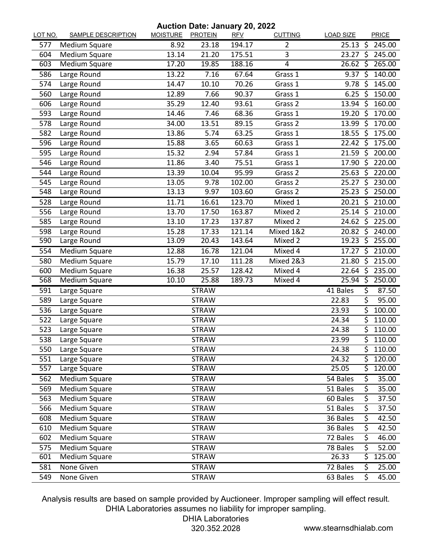**Auction Date: January 20, 2022**

|            |                                |                 | AUCHON DAIB. JANUALY ZU, ZUZZ |            |                |                      |         |                 |
|------------|--------------------------------|-----------------|-------------------------------|------------|----------------|----------------------|---------|-----------------|
| LOT NO.    | <b>SAMPLE DESCRIPTION</b>      | <b>MOISTURE</b> | <b>PROTEIN</b>                | <u>RFV</u> | <b>CUTTING</b> | <b>LOAD SIZE</b>     |         | PRICE           |
| 577        | Medium Square                  | 8.92            | 23.18                         | 194.17     | $\overline{2}$ | $25.13$ \$           |         | 245.00          |
| 604        | Medium Square                  | 13.14           | 21.20                         | 175.51     | 3              | 23.27                | \$      | 245.00          |
| 603        | <b>Medium Square</b>           | 17.20           | 19.85                         | 188.16     | $\overline{4}$ |                      |         | 26.62 \$ 265.00 |
| 586        | Large Round                    | 13.22           | 7.16                          | 67.64      | Grass 1        | 9.37                 | -\$     | 140.00          |
| 574        | Large Round                    | 14.47           | 10.10                         | 70.26      | Grass 1        | 9.78                 | \$      | 145.00          |
| 560        | Large Round                    | 12.89           | 7.66                          | 90.37      | Grass 1        | 6.25                 | \$      | 150.00          |
| 606        | Large Round                    | 35.29           | 12.40                         | 93.61      | Grass 2        | 13.94 \$             |         | 160.00          |
| 593        | Large Round                    | 14.46           | 7.46                          | 68.36      | Grass 1        | 19.20                | -\$     | 170.00          |
| 578        | Large Round                    | 34.00           | 13.51                         | 89.15      | Grass 2        | 13.99 \$             |         | 170.00          |
| 582        | Large Round                    | 13.86           | 5.74                          | 63.25      | Grass 1        | 18.55                | S.      | 175.00          |
| 596        | Large Round                    | 15.88           | 3.65                          | 60.63      | Grass 1        | 22.42 \$             |         | 175.00          |
| 595        | Large Round                    | 15.32           | 2.94                          | 57.84      | Grass 1        | 21.59                | -\$     | 200.00          |
| 546        | Large Round                    | 11.86           | 3.40                          | 75.51      | Grass 1        | 17.90                | \$      | 220.00          |
| 544        | Large Round                    | 13.39           | 10.04                         | 95.99      | Grass 2        | 25.63                | Ŝ.      | 220.00          |
| 545        | Large Round                    | 13.05           | 9.78                          | 102.00     | Grass 2        | 25.27                | -\$     | 230.00          |
| 548        | Large Round                    | 13.13           | 9.97                          | 103.60     | Grass 2        | 25.23                | \$      | 250.00          |
| 528        | Large Round                    | 11.71           | 16.61                         | 123.70     | Mixed 1        | 20.21 \$             |         | 210.00          |
| 556        | Large Round                    | 13.70           | 17.50                         | 163.87     | Mixed 2        | $25.14$ \$           |         | 210.00          |
| 585        | Large Round                    | 13.10           | 17.23                         | 137.87     | Mixed 2        | 24.62                | $\zeta$ | 225.00          |
| 598        | Large Round                    | 15.28           | 17.33                         | 121.14     | Mixed 1&2      | 20.82 \$             |         | 240.00          |
| 590        | Large Round                    | 13.09           | 20.43                         | 143.64     | Mixed 2        | 19.23                | \$      | 255.00          |
| 554        | Medium Square                  | 12.88           | 16.78                         | 121.04     | Mixed 4        | 17.27                | \$      | 210.00          |
| 580        | Medium Square                  | 15.79           | 17.10                         | 111.28     | Mixed 2&3      | 21.80                | \$      | 215.00          |
| 600        | Medium Square                  | 16.38           | 25.57                         | 128.42     | Mixed 4        | 22.64 \$             |         | 235.00          |
| 568        | Medium Square                  | 10.10           | 25.88                         | 189.73     | Mixed 4        | $25.94$ \$           |         | 250.00          |
| 591        | Large Square                   |                 | <b>STRAW</b>                  |            |                | 41 Bales             | \$      | 87.50           |
| 589        | Large Square                   |                 | <b>STRAW</b>                  |            |                | 22.83                | \$      | 95.00           |
| 536        | Large Square                   |                 | <b>STRAW</b>                  |            |                | 23.93                | \$      | 100.00          |
| 522        | Large Square                   |                 | <b>STRAW</b>                  |            |                | 24.34                | \$      | 110.00          |
| 523        | Large Square                   |                 | <b>STRAW</b>                  |            |                | 24.38                | \$      | 110.00          |
| 538        | Large Square                   |                 | <b>STRAW</b>                  |            |                | 23.99                | \$      | 110.00          |
| 550        | Large Square                   |                 | <b>STRAW</b>                  |            |                | 24.38                | \$      | 110.00          |
| 551        | Large Square                   |                 | <b>STRAW</b>                  |            |                | 24.32                | \$      | 120.00          |
| 557        | Large Square                   |                 | <b>STRAW</b>                  |            |                | 25.05                | \$      | 120.00          |
| 562        | Medium Square                  |                 | <b>STRAW</b>                  |            |                | 54 Bales             | \$      | 35.00           |
| 569        | Medium Square                  |                 | <b>STRAW</b>                  |            |                | 51 Bales             | \$      | 35.00           |
| 563        | Medium Square                  |                 | <b>STRAW</b>                  |            |                | 60 Bales             | \$      | 37.50           |
|            |                                |                 |                               |            |                |                      | \$      |                 |
| 566<br>608 | Medium Square<br>Medium Square |                 | <b>STRAW</b><br><b>STRAW</b>  |            |                | 51 Bales<br>36 Bales | \$      | 37.50<br>42.50  |
|            |                                |                 |                               |            |                |                      |         |                 |
| 610        | Medium Square                  |                 | <b>STRAW</b>                  |            |                | 36 Bales             | \$      | 42.50           |
| 602        | Medium Square                  |                 | <b>STRAW</b>                  |            |                | 72 Bales             | \$      | 46.00           |
| 575        | Medium Square                  |                 | <b>STRAW</b>                  |            |                | 78 Bales             | \$      | 52.00           |
| 601        | Medium Square                  |                 | <b>STRAW</b>                  |            |                | 26.33                | \$      | 125.00          |
| 581        | None Given                     |                 | <b>STRAW</b>                  |            |                | 72 Bales             | \$      | 25.00           |
| 549        | None Given                     |                 | <b>STRAW</b>                  |            |                | 63 Bales             | \$      | 45.00           |

Analysis results are based on sample provided by Auctioneer. Improper sampling will effect result. DHIA Laboratories assumes no liability for improper sampling.

DHIA Laboratories

320.352.2028 www.stearnsdhialab.com